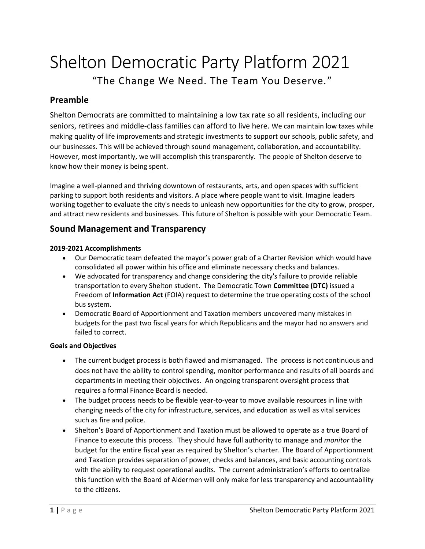# Shelton Democratic Party Platform 2021 "The Change We Need. The Team You Deserve."

## **Preamble**

Shelton Democrats are committed to maintaining a low tax rate so all residents, including our seniors, retirees and middle-class families can afford to live here. We can maintain low taxes while making quality of life improvements and strategic investments to support our schools, public safety, and our businesses. This will be achieved through sound management, collaboration, and accountability. However, most importantly, we will accomplish this transparently. The people of Shelton deserve to know how their money is being spent.

Imagine a well-planned and thriving downtown of restaurants, arts, and open spaces with sufficient parking to support both residents and visitors. A place where people want to visit. Imagine leaders working together to evaluate the city's needs to unleash new opportunities for the city to grow, prosper, and attract new residents and businesses. This future of Shelton is possible with your Democratic Team.

## **Sound Management and Transparency**

#### **2019-2021 Accomplishments**

- Our Democratic team defeated the mayor's power grab of a Charter Revision which would have consolidated all power within his office and eliminate necessary checks and balances.
- We advocated for transparency and change considering the city's failure to provide reliable transportation to every Shelton student. The Democratic Town **Committee (DTC)** issued a Freedom of **Information Act** (FOIA) request to determine the true operating costs of the school bus system.
- Democratic Board of Apportionment and Taxation members uncovered many mistakes in budgets for the past two fiscal years for which Republicans and the mayor had no answers and failed to correct.

#### **Goals and Objectives**

- The current budget process is both flawed and mismanaged. The process is not continuous and does not have the ability to control spending, monitor performance and results of all boards and departments in meeting their objectives. An ongoing transparent oversight process that requires a formal Finance Board is needed.
- The budget process needs to be flexible year-to-year to move available resources in line with changing needs of the city for infrastructure, services, and education as well as vital services such as fire and police.
- Shelton's Board of Apportionment and Taxation must be allowed to operate as a true Board of Finance to execute this process. They should have full authority to manage and *monitor* the budget for the entire fiscal year as required by Shelton's charter. The Board of Apportionment and Taxation provides separation of power, checks and balances, and basic accounting controls with the ability to request operational audits. The current administration's efforts to centralize this function with the Board of Aldermen will only make for less transparency and accountability to the citizens.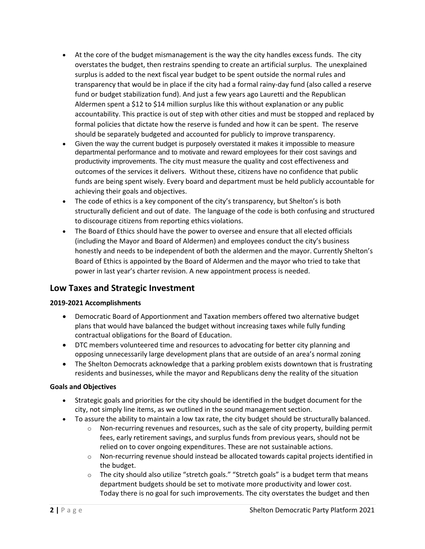- At the core of the budget mismanagement is the way the city handles excess funds. The city overstates the budget, then restrains spending to create an artificial surplus. The unexplained surplus is added to the next fiscal year budget to be spent outside the normal rules and transparency that would be in place if the city had a formal rainy-day fund (also called a reserve fund or budget stabilization fund). And just a few years ago Lauretti and the Republican Aldermen spent a \$12 to \$14 million surplus like this without explanation or any public accountability. This practice is out of step with other cities and must be stopped and replaced by formal policies that dictate how the reserve is funded and how it can be spent. The reserve should be separately budgeted and accounted for publicly to improve transparency.
- Given the way the current budget is purposely overstated it makes it impossible to measure departmental performance and to motivate and reward employees for their cost savings and productivity improvements. The city must measure the quality and cost effectiveness and outcomes of the services it delivers. Without these, citizens have no confidence that public funds are being spent wisely. Every board and department must be held publicly accountable for achieving their goals and objectives.
- The code of ethics is a key component of the city's transparency, but Shelton's is both structurally deficient and out of date. The language of the code is both confusing and structured to discourage citizens from reporting ethics violations.
- The Board of Ethics should have the power to oversee and ensure that all elected officials (including the Mayor and Board of Aldermen) and employees conduct the city's business honestly and needs to be independent of both the aldermen and the mayor. Currently Shelton's Board of Ethics is appointed by the Board of Aldermen and the mayor who tried to take that power in last year's charter revision. A new appointment process is needed.

## **Low Taxes and Strategic Investment**

### **2019-2021 Accomplishments**

- Democratic Board of Apportionment and Taxation members offered two alternative budget plans that would have balanced the budget without increasing taxes while fully funding contractual obligations for the Board of Education.
- DTC members volunteered time and resources to advocating for better city planning and opposing unnecessarily large development plans that are outside of an area's normal zoning
- The Shelton Democrats acknowledge that a parking problem exists downtown that is frustrating residents and businesses, while the mayor and Republicans deny the reality of the situation

#### **Goals and Objectives**

- Strategic goals and priorities for the city should be identified in the budget document for the city, not simply line items, as we outlined in the sound management section.
- To assure the ability to maintain a low tax rate, the city budget should be structurally balanced.
	- $\circ$  Non-recurring revenues and resources, such as the sale of city property, building permit fees, early retirement savings, and surplus funds from previous years, should not be relied on to cover ongoing expenditures. These are not sustainable actions.
	- $\circ$  Non-recurring revenue should instead be allocated towards capital projects identified in the budget.
	- $\circ$  The city should also utilize "stretch goals." "Stretch goals" is a budget term that means department budgets should be set to motivate more productivity and lower cost. Today there is no goal for such improvements. The city overstates the budget and then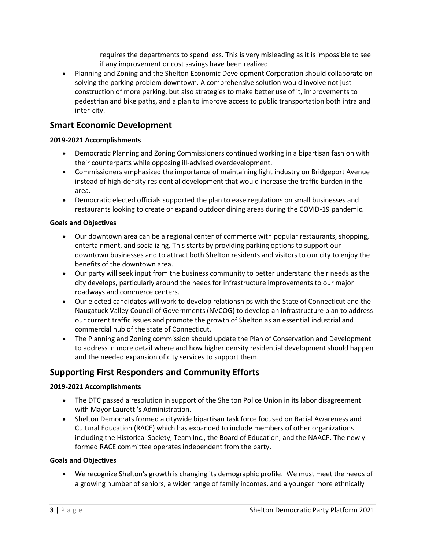requires the departments to spend less. This is very misleading as it is impossible to see if any improvement or cost savings have been realized.

• Planning and Zoning and the Shelton Economic Development Corporation should collaborate on solving the parking problem downtown. A comprehensive solution would involve not just construction of more parking, but also strategies to make better use of it, improvements to pedestrian and bike paths, and a plan to improve access to public transportation both intra and inter-city.

## **Smart Economic Development**

#### **2019-2021 Accomplishments**

- Democratic Planning and Zoning Commissioners continued working in a bipartisan fashion with their counterparts while opposing ill-advised overdevelopment.
- Commissioners emphasized the importance of maintaining light industry on Bridgeport Avenue instead of high-density residential development that would increase the traffic burden in the area.
- Democratic elected officials supported the plan to ease regulations on small businesses and restaurants looking to create or expand outdoor dining areas during the COVID-19 pandemic.

#### **Goals and Objectives**

- Our downtown area can be a regional center of commerce with popular restaurants, shopping, entertainment, and socializing. This starts by providing parking options to support our downtown businesses and to attract both Shelton residents and visitors to our city to enjoy the benefits of the downtown area.
- Our party will seek input from the business community to better understand their needs as the city develops, particularly around the needs for infrastructure improvements to our major roadways and commerce centers.
- Our elected candidates will work to develop relationships with the State of Connecticut and the Naugatuck Valley Council of Governments (NVCOG) to develop an infrastructure plan to address our current traffic issues and promote the growth of Shelton as an essential industrial and commercial hub of the state of Connecticut.
- The Planning and Zoning commission should update the Plan of Conservation and Development to address in more detail where and how higher density residential development should happen and the needed expansion of city services to support them.

## **Supporting First Responders and Community Efforts**

#### **2019-2021 Accomplishments**

- The DTC passed a resolution in support of the Shelton Police Union in its labor disagreement with Mayor Lauretti's Administration.
- Shelton Democrats formed a citywide bipartisan task force focused on Racial Awareness and Cultural Education (RACE) which has expanded to include members of other organizations including the Historical Society, Team Inc., the Board of Education, and the NAACP. The newly formed RACE committee operates independent from the party.

#### **Goals and Objectives**

• We recognize Shelton's growth is changing its demographic profile. We must meet the needs of a growing number of seniors, a wider range of family incomes, and a younger more ethnically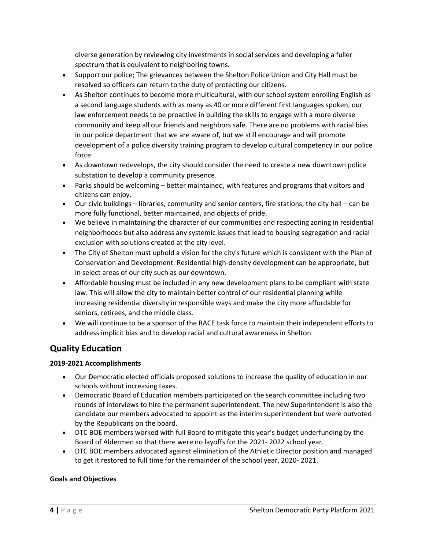diverse generation by reviewing city investments in social services and developing a fuller spectrum that is equivalent to neighboring towns.

- Support our police; The grievances between the Shelton Police Union and City Hall must be resolved so officers can return to the duty of protecting our citizens.
- As Shelton continues to become more multicultural, with our school system enrolling English as a second language students with as many as 40 or more different first languages spoken, our law enforcement needs to be proactive in building the skills to engage with a more diverse community and keep all our friends and neighbors safe. There are no problems with racial bias in our police department that we are aware of, but we still encourage and will promote development of a police diversity training program to develop cultural competency in our police force.
- As downtown redevelops, the city should consider the need to create a new downtown police substation to develop a community presence.
- Parks should be welcoming better maintained, with features and programs that visitors and citizens can enjoy.
- Our civic buildings libraries, community and senior centers, fire stations, the city hall can be more fully functional, better maintained, and objects of pride.
- We believe in maintaining the character of our communities and respecting zoning in residential neighborhoods but also address any systemic issues that lead to housing segregation and racial exclusion with solutions created at the city level.
- The City of Shelton must uphold a vision for the city's future which is consistent with the Plan of Conservation and Development. Residential high-density development can be appropriate, but in select areas of our city such as our downtown.
- Affordable housing must be included in any new development plans to be compliant with state law. This will allow the city to maintain better control of our residential planning while increasing residential diversity in responsible ways and make the city more affordable for seniors, retirees, and the middle class.
- We will continue to be a sponsor of the RACE task force to maintain their independent efforts to address implicit bias and to develop racial and cultural awareness in Shelton

# **Quality Education**

#### **2019-2021 Accomplishments**

- Our Democratic elected officials proposed solutions to increase the quality of education in our schools without increasing taxes.
- Democratic Board of Education members participated on the search committee including two rounds of interviews to hire the permanent superintendent. The new Superintendent is also the candidate our members advocated to appoint as the interim superintendent but were outvoted by the Republicans on the board.
- DTC BOE members worked with full Board to mitigate this year's budget underfunding by the Board of Aldermen so that there were no layoffs for the 2021- 2022 school year.
- DTC BOE members advocated against elimination of the Athletic Director position and managed to get it restored to full time for the remainder of the school year, 2020- 2021.

#### **Goals and Objectives**